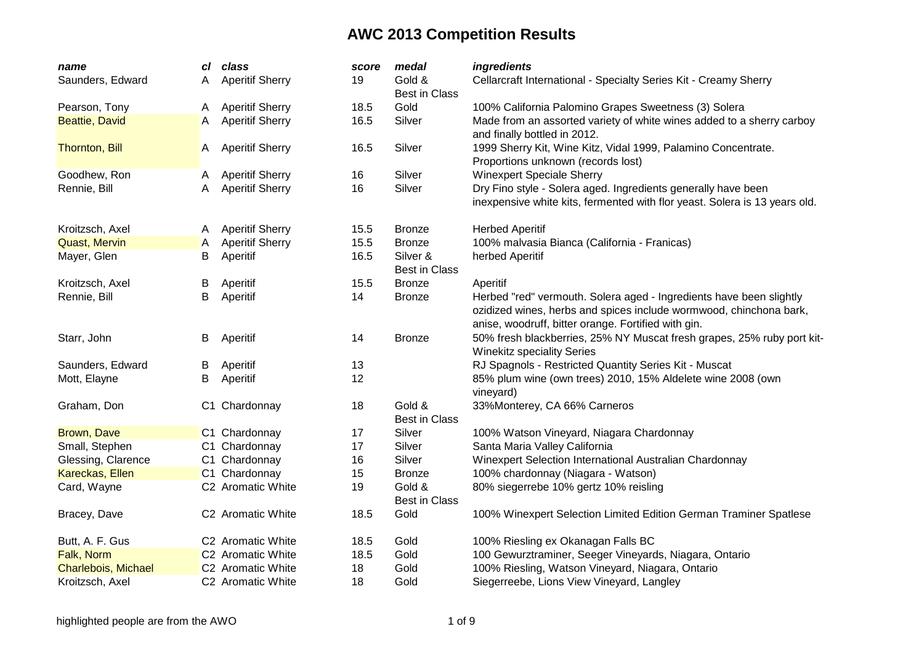| name                  | cl | class                         | score | medal                            | ingredients                                                                                                                                                                                      |
|-----------------------|----|-------------------------------|-------|----------------------------------|--------------------------------------------------------------------------------------------------------------------------------------------------------------------------------------------------|
| Saunders, Edward      | Α  | <b>Aperitif Sherry</b>        | 19    | Gold &<br><b>Best in Class</b>   | Cellarcraft International - Specialty Series Kit - Creamy Sherry                                                                                                                                 |
| Pearson, Tony         | A  | <b>Aperitif Sherry</b>        | 18.5  | Gold                             | 100% California Palomino Grapes Sweetness (3) Solera                                                                                                                                             |
| <b>Beattie, David</b> | A  | <b>Aperitif Sherry</b>        | 16.5  | Silver                           | Made from an assorted variety of white wines added to a sherry carboy<br>and finally bottled in 2012.                                                                                            |
| <b>Thornton, Bill</b> | A  | <b>Aperitif Sherry</b>        | 16.5  | Silver                           | 1999 Sherry Kit, Wine Kitz, Vidal 1999, Palamino Concentrate.<br>Proportions unknown (records lost)                                                                                              |
| Goodhew, Ron          | A  | <b>Aperitif Sherry</b>        | 16    | Silver                           | <b>Winexpert Speciale Sherry</b>                                                                                                                                                                 |
| Rennie, Bill          | A  | <b>Aperitif Sherry</b>        | 16    | Silver                           | Dry Fino style - Solera aged. Ingredients generally have been<br>inexpensive white kits, fermented with flor yeast. Solera is 13 years old.                                                      |
| Kroitzsch, Axel       | A  | <b>Aperitif Sherry</b>        | 15.5  | <b>Bronze</b>                    | <b>Herbed Aperitif</b>                                                                                                                                                                           |
| <b>Quast, Mervin</b>  | Α  | <b>Aperitif Sherry</b>        | 15.5  | <b>Bronze</b>                    | 100% malvasia Bianca (California - Franicas)                                                                                                                                                     |
| Mayer, Glen           | В  | Aperitif                      | 16.5  | Silver &<br><b>Best in Class</b> | herbed Aperitif                                                                                                                                                                                  |
| Kroitzsch, Axel       | В  | Aperitif                      | 15.5  | <b>Bronze</b>                    | Aperitif                                                                                                                                                                                         |
| Rennie, Bill          | B  | Aperitif                      | 14    | <b>Bronze</b>                    | Herbed "red" vermouth. Solera aged - Ingredients have been slightly<br>ozidized wines, herbs and spices include wormwood, chinchona bark,<br>anise, woodruff, bitter orange. Fortified with gin. |
| Starr, John           | В  | Aperitif                      | 14    | <b>Bronze</b>                    | 50% fresh blackberries, 25% NY Muscat fresh grapes, 25% ruby port kit-<br><b>Winekitz speciality Series</b>                                                                                      |
| Saunders, Edward      | B  | Aperitif                      | 13    |                                  | RJ Spagnols - Restricted Quantity Series Kit - Muscat                                                                                                                                            |
| Mott, Elayne          | В  | Aperitif                      | 12    |                                  | 85% plum wine (own trees) 2010, 15% Aldelete wine 2008 (own<br>vineyard)                                                                                                                         |
| Graham, Don           |    | C1 Chardonnay                 | 18    | Gold &<br><b>Best in Class</b>   | 33%Monterey, CA 66% Carneros                                                                                                                                                                     |
| <b>Brown, Dave</b>    |    | C1 Chardonnay                 | 17    | Silver                           | 100% Watson Vineyard, Niagara Chardonnay                                                                                                                                                         |
| Small, Stephen        |    | C1 Chardonnay                 | 17    | Silver                           | Santa Maria Valley California                                                                                                                                                                    |
| Glessing, Clarence    |    | C1 Chardonnay                 | 16    | Silver                           | Winexpert Selection International Australian Chardonnay                                                                                                                                          |
| Kareckas, Ellen       |    | C1 Chardonnay                 | 15    | <b>Bronze</b>                    | 100% chardonnay (Niagara - Watson)                                                                                                                                                               |
| Card, Wayne           |    | C2 Aromatic White             | 19    | Gold &<br><b>Best in Class</b>   | 80% siegerrebe 10% gertz 10% reisling                                                                                                                                                            |
| Bracey, Dave          |    | C2 Aromatic White             | 18.5  | Gold                             | 100% Winexpert Selection Limited Edition German Traminer Spatlese                                                                                                                                |
| Butt, A. F. Gus       |    | C <sub>2</sub> Aromatic White | 18.5  | Gold                             | 100% Riesling ex Okanagan Falls BC                                                                                                                                                               |
| Falk, Norm            |    | C2 Aromatic White             | 18.5  | Gold                             | 100 Gewurztraminer, Seeger Vineyards, Niagara, Ontario                                                                                                                                           |
| Charlebois, Michael   |    | C2 Aromatic White             | 18    | Gold                             | 100% Riesling, Watson Vineyard, Niagara, Ontario                                                                                                                                                 |
| Kroitzsch, Axel       |    | C <sub>2</sub> Aromatic White | 18    | Gold                             | Siegerreebe, Lions View Vineyard, Langley                                                                                                                                                        |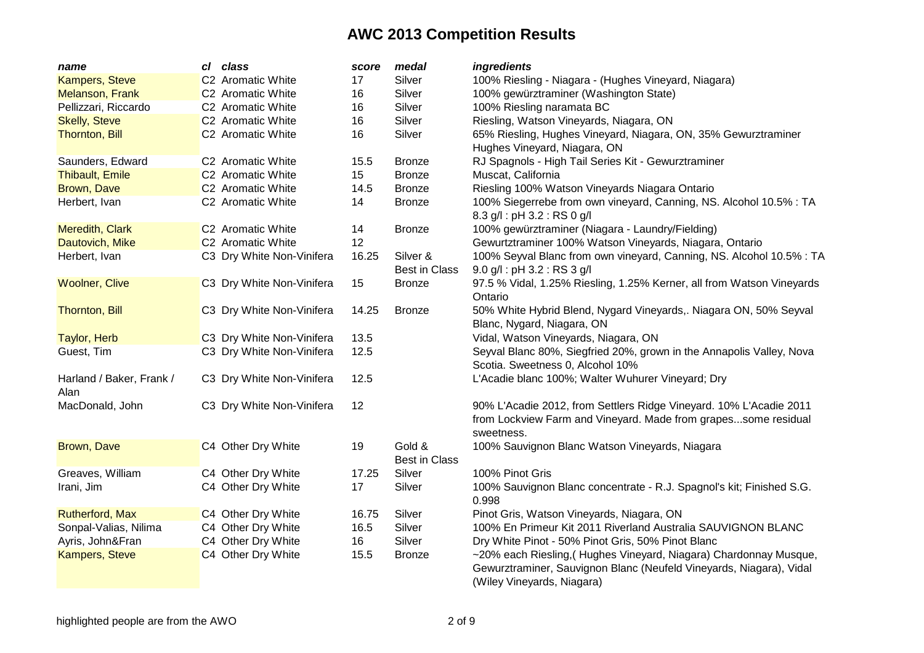| name                             | cl class                  | score | medal                          | ingredients                                                                                                                                                            |
|----------------------------------|---------------------------|-------|--------------------------------|------------------------------------------------------------------------------------------------------------------------------------------------------------------------|
| <b>Kampers, Steve</b>            | C2 Aromatic White         | 17    | Silver                         | 100% Riesling - Niagara - (Hughes Vineyard, Niagara)                                                                                                                   |
| <b>Melanson, Frank</b>           | C2 Aromatic White         | 16    | Silver                         | 100% gewürztraminer (Washington State)                                                                                                                                 |
| Pellizzari, Riccardo             | C2 Aromatic White         | 16    | Silver                         | 100% Riesling naramata BC                                                                                                                                              |
| <b>Skelly, Steve</b>             | C2 Aromatic White         | 16    | Silver                         | Riesling, Watson Vineyards, Niagara, ON                                                                                                                                |
| <b>Thornton, Bill</b>            | C2 Aromatic White         | 16    | Silver                         | 65% Riesling, Hughes Vineyard, Niagara, ON, 35% Gewurztraminer                                                                                                         |
|                                  |                           |       |                                | Hughes Vineyard, Niagara, ON                                                                                                                                           |
| Saunders, Edward                 | C2 Aromatic White         | 15.5  | <b>Bronze</b>                  | RJ Spagnols - High Tail Series Kit - Gewurztraminer                                                                                                                    |
| <b>Thibault, Emile</b>           | C2 Aromatic White         | 15    | <b>Bronze</b>                  | Muscat, California                                                                                                                                                     |
| Brown, Dave                      | C2 Aromatic White         | 14.5  | <b>Bronze</b>                  | Riesling 100% Watson Vineyards Niagara Ontario                                                                                                                         |
| Herbert, Ivan                    | C2 Aromatic White         | 14    | <b>Bronze</b>                  | 100% Siegerrebe from own vineyard, Canning, NS. Alcohol 10.5% : TA<br>8.3 g/l: pH 3.2: RS 0 g/l                                                                        |
| Meredith, Clark                  | C2 Aromatic White         | 14    | <b>Bronze</b>                  | 100% gewürztraminer (Niagara - Laundry/Fielding)                                                                                                                       |
| Dautovich, Mike                  | C2 Aromatic White         | 12    |                                | Gewurtztraminer 100% Watson Vineyards, Niagara, Ontario                                                                                                                |
| Herbert, Ivan                    | C3 Dry White Non-Vinifera | 16.25 | Silver &                       | 100% Seyval Blanc from own vineyard, Canning, NS. Alcohol 10.5% : TA                                                                                                   |
|                                  |                           |       | <b>Best in Class</b>           | $9.0$ g/l : pH 3.2 : RS 3 g/l                                                                                                                                          |
| <b>Woolner, Clive</b>            | C3 Dry White Non-Vinifera | 15    | <b>Bronze</b>                  | 97.5 % Vidal, 1.25% Riesling, 1.25% Kerner, all from Watson Vineyards<br>Ontario                                                                                       |
| <b>Thornton, Bill</b>            | C3 Dry White Non-Vinifera | 14.25 | <b>Bronze</b>                  | 50% White Hybrid Blend, Nygard Vineyards,. Niagara ON, 50% Seyval<br>Blanc, Nygard, Niagara, ON                                                                        |
| <b>Taylor, Herb</b>              | C3 Dry White Non-Vinifera | 13.5  |                                | Vidal, Watson Vineyards, Niagara, ON                                                                                                                                   |
| Guest, Tim                       | C3 Dry White Non-Vinifera | 12.5  |                                | Seyval Blanc 80%, Siegfried 20%, grown in the Annapolis Valley, Nova<br>Scotia. Sweetness 0, Alcohol 10%                                                               |
| Harland / Baker, Frank /<br>Alan | C3 Dry White Non-Vinifera | 12.5  |                                | L'Acadie blanc 100%; Walter Wuhurer Vineyard; Dry                                                                                                                      |
| MacDonald, John                  | C3 Dry White Non-Vinifera | 12    |                                | 90% L'Acadie 2012, from Settlers Ridge Vineyard. 10% L'Acadie 2011                                                                                                     |
|                                  |                           |       |                                | from Lockview Farm and Vineyard. Made from grapessome residual<br>sweetness.                                                                                           |
| Brown, Dave                      | C4 Other Dry White        | 19    | Gold &<br><b>Best in Class</b> | 100% Sauvignon Blanc Watson Vineyards, Niagara                                                                                                                         |
| Greaves, William                 | C4 Other Dry White        | 17.25 | Silver                         | 100% Pinot Gris                                                                                                                                                        |
| Irani, Jim                       | C4 Other Dry White        | 17    | Silver                         | 100% Sauvignon Blanc concentrate - R.J. Spagnol's kit; Finished S.G.<br>0.998                                                                                          |
| <b>Rutherford, Max</b>           | C4 Other Dry White        | 16.75 | Silver                         | Pinot Gris, Watson Vineyards, Niagara, ON                                                                                                                              |
| Sonpal-Valias, Nilima            | C4 Other Dry White        | 16.5  | Silver                         | 100% En Primeur Kit 2011 Riverland Australia SAUVIGNON BLANC                                                                                                           |
| Ayris, John&Fran                 | C4 Other Dry White        | 16    | Silver                         | Dry White Pinot - 50% Pinot Gris, 50% Pinot Blanc                                                                                                                      |
| <b>Kampers, Steve</b>            | C4 Other Dry White        | 15.5  | <b>Bronze</b>                  | ~20% each Riesling, (Hughes Vineyard, Niagara) Chardonnay Musque,<br>Gewurztraminer, Sauvignon Blanc (Neufeld Vineyards, Niagara), Vidal<br>(Wiley Vineyards, Niagara) |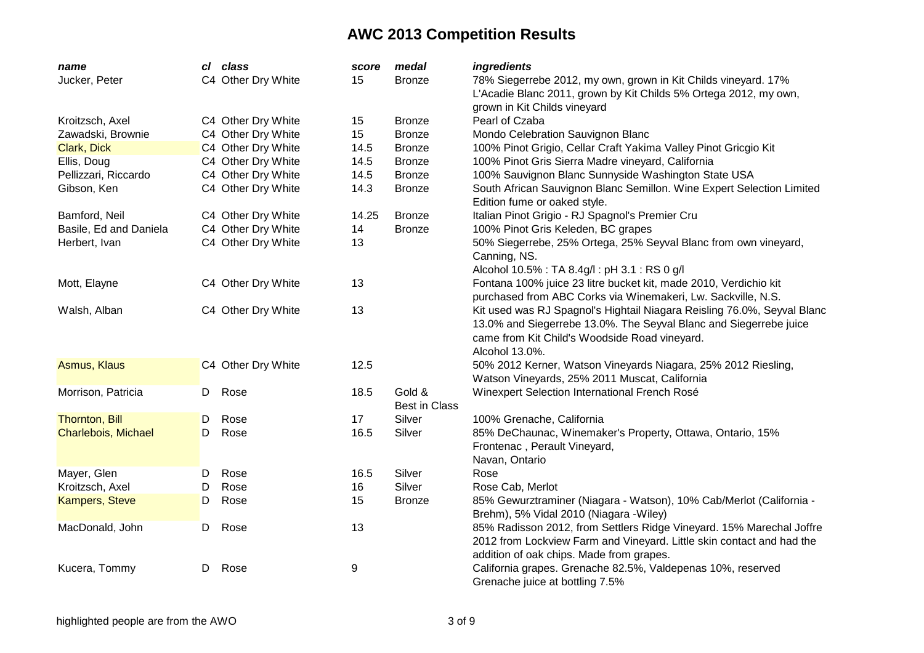| name                   |    | cl class           | score | medal                | ingredients                                                             |
|------------------------|----|--------------------|-------|----------------------|-------------------------------------------------------------------------|
| Jucker, Peter          |    | C4 Other Dry White | 15    | <b>Bronze</b>        | 78% Siegerrebe 2012, my own, grown in Kit Childs vineyard. 17%          |
|                        |    |                    |       |                      | L'Acadie Blanc 2011, grown by Kit Childs 5% Ortega 2012, my own,        |
|                        |    |                    |       |                      | grown in Kit Childs vineyard                                            |
| Kroitzsch, Axel        |    | C4 Other Dry White | 15    | <b>Bronze</b>        | Pearl of Czaba                                                          |
| Zawadski, Brownie      |    | C4 Other Dry White | 15    | <b>Bronze</b>        | Mondo Celebration Sauvignon Blanc                                       |
| Clark, Dick            |    | C4 Other Dry White | 14.5  | <b>Bronze</b>        | 100% Pinot Grigio, Cellar Craft Yakima Valley Pinot Gricgio Kit         |
| Ellis, Doug            |    | C4 Other Dry White | 14.5  | <b>Bronze</b>        | 100% Pinot Gris Sierra Madre vineyard, California                       |
| Pellizzari, Riccardo   |    | C4 Other Dry White | 14.5  | <b>Bronze</b>        | 100% Sauvignon Blanc Sunnyside Washington State USA                     |
| Gibson, Ken            |    | C4 Other Dry White | 14.3  | <b>Bronze</b>        | South African Sauvignon Blanc Semillon. Wine Expert Selection Limited   |
|                        |    |                    |       |                      | Edition fume or oaked style.                                            |
| Bamford, Neil          |    | C4 Other Dry White | 14.25 | <b>Bronze</b>        | Italian Pinot Grigio - RJ Spagnol's Premier Cru                         |
| Basile, Ed and Daniela |    | C4 Other Dry White | 14    | <b>Bronze</b>        | 100% Pinot Gris Keleden, BC grapes                                      |
| Herbert, Ivan          |    | C4 Other Dry White | 13    |                      | 50% Siegerrebe, 25% Ortega, 25% Seyval Blanc from own vineyard,         |
|                        |    |                    |       |                      | Canning, NS.                                                            |
|                        |    |                    |       |                      | Alcohol 10.5% : TA 8.4g/l : pH 3.1 : RS 0 g/l                           |
| Mott, Elayne           |    | C4 Other Dry White | 13    |                      | Fontana 100% juice 23 litre bucket kit, made 2010, Verdichio kit        |
|                        |    |                    |       |                      | purchased from ABC Corks via Winemakeri, Lw. Sackville, N.S.            |
| Walsh, Alban           |    | C4 Other Dry White | 13    |                      | Kit used was RJ Spagnol's Hightail Niagara Reisling 76.0%, Seyval Blanc |
|                        |    |                    |       |                      | 13.0% and Siegerrebe 13.0%. The Seyval Blanc and Siegerrebe juice       |
|                        |    |                    |       |                      | came from Kit Child's Woodside Road vineyard.                           |
|                        |    |                    |       |                      | Alcohol 13.0%.                                                          |
| Asmus, Klaus           |    | C4 Other Dry White | 12.5  |                      | 50% 2012 Kerner, Watson Vineyards Niagara, 25% 2012 Riesling,           |
|                        |    |                    |       |                      |                                                                         |
|                        |    |                    |       |                      | Watson Vineyards, 25% 2011 Muscat, California                           |
| Morrison, Patricia     | D. | Rose               | 18.5  | Gold &               | Winexpert Selection International French Rosé                           |
|                        |    |                    |       | <b>Best in Class</b> |                                                                         |
| <b>Thornton, Bill</b>  | D  | Rose               | 17    | Silver               | 100% Grenache, California                                               |
| Charlebois, Michael    | D. | Rose               | 16.5  | Silver               | 85% DeChaunac, Winemaker's Property, Ottawa, Ontario, 15%               |
|                        |    |                    |       |                      | Frontenac, Perault Vineyard,                                            |
|                        |    |                    |       |                      | Navan, Ontario                                                          |
| Mayer, Glen            | D  | Rose               | 16.5  | Silver               | Rose                                                                    |
| Kroitzsch, Axel        | D  | Rose               | 16    | Silver               | Rose Cab, Merlot                                                        |
| <b>Kampers, Steve</b>  | D  | Rose               | 15    | <b>Bronze</b>        | 85% Gewurztraminer (Niagara - Watson), 10% Cab/Merlot (California -     |
|                        |    |                    |       |                      | Brehm), 5% Vidal 2010 (Niagara -Wiley)                                  |
| MacDonald, John        | D  | Rose               | 13    |                      | 85% Radisson 2012, from Settlers Ridge Vineyard. 15% Marechal Joffre    |
|                        |    |                    |       |                      | 2012 from Lockview Farm and Vineyard. Little skin contact and had the   |
|                        |    |                    |       |                      | addition of oak chips. Made from grapes.                                |
| Kucera, Tommy          | D  | Rose               | 9     |                      | California grapes. Grenache 82.5%, Valdepenas 10%, reserved             |
|                        |    |                    |       |                      | Grenache juice at bottling 7.5%                                         |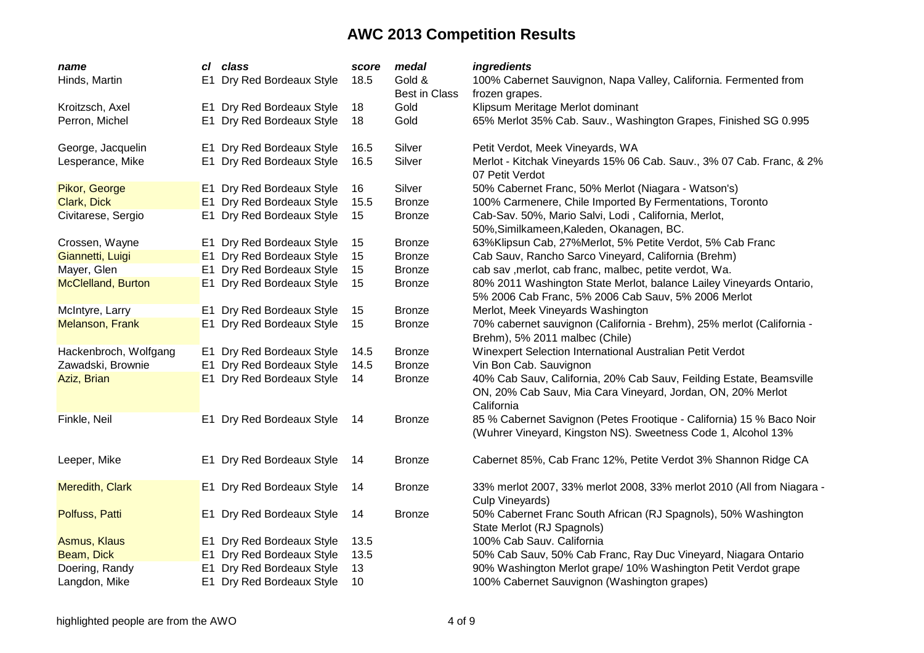| name                      | cl             | class                     | score | medal                | ingredients                                                                                                                                      |
|---------------------------|----------------|---------------------------|-------|----------------------|--------------------------------------------------------------------------------------------------------------------------------------------------|
| Hinds, Martin             |                | E1 Dry Red Bordeaux Style | 18.5  | Gold &               | 100% Cabernet Sauvignon, Napa Valley, California. Fermented from                                                                                 |
|                           |                |                           |       | <b>Best in Class</b> | frozen grapes.                                                                                                                                   |
| Kroitzsch, Axel           |                | E1 Dry Red Bordeaux Style | 18    | Gold                 | Klipsum Meritage Merlot dominant                                                                                                                 |
| Perron, Michel            |                | E1 Dry Red Bordeaux Style | 18    | Gold                 | 65% Merlot 35% Cab. Sauv., Washington Grapes, Finished SG 0.995                                                                                  |
| George, Jacquelin         |                | E1 Dry Red Bordeaux Style | 16.5  | Silver               | Petit Verdot, Meek Vineyards, WA                                                                                                                 |
| Lesperance, Mike          |                | E1 Dry Red Bordeaux Style | 16.5  | Silver               | Merlot - Kitchak Vineyards 15% 06 Cab. Sauv., 3% 07 Cab. Franc, & 2%<br>07 Petit Verdot                                                          |
| Pikor, George             |                | E1 Dry Red Bordeaux Style | 16    | Silver               | 50% Cabernet Franc, 50% Merlot (Niagara - Watson's)                                                                                              |
| Clark, Dick               |                | E1 Dry Red Bordeaux Style | 15.5  | <b>Bronze</b>        | 100% Carmenere, Chile Imported By Fermentations, Toronto                                                                                         |
| Civitarese, Sergio        |                | E1 Dry Red Bordeaux Style | 15    | <b>Bronze</b>        | Cab-Sav. 50%, Mario Salvi, Lodi, California, Merlot,                                                                                             |
|                           |                |                           |       |                      | 50%, Similkameen, Kaleden, Okanagen, BC.                                                                                                         |
| Crossen, Wayne            |                | E1 Dry Red Bordeaux Style | 15    | Bronze               | 63%Klipsun Cab, 27%Merlot, 5% Petite Verdot, 5% Cab Franc                                                                                        |
| Giannetti, Luigi          |                | E1 Dry Red Bordeaux Style | 15    | <b>Bronze</b>        | Cab Sauv, Rancho Sarco Vineyard, California (Brehm)                                                                                              |
| Mayer, Glen               |                | E1 Dry Red Bordeaux Style | 15    | <b>Bronze</b>        | cab sav , merlot, cab franc, malbec, petite verdot, Wa.                                                                                          |
| <b>McClelland, Burton</b> |                | E1 Dry Red Bordeaux Style | 15    | Bronze               | 80% 2011 Washington State Merlot, balance Lailey Vineyards Ontario,                                                                              |
|                           |                |                           |       |                      | 5% 2006 Cab Franc, 5% 2006 Cab Sauv, 5% 2006 Merlot                                                                                              |
| McIntyre, Larry           |                | E1 Dry Red Bordeaux Style | 15    | <b>Bronze</b>        | Merlot, Meek Vineyards Washington                                                                                                                |
| <b>Melanson, Frank</b>    |                | E1 Dry Red Bordeaux Style | 15    | <b>Bronze</b>        | 70% cabernet sauvignon (California - Brehm), 25% merlot (California -                                                                            |
|                           |                |                           |       |                      | Brehm), 5% 2011 malbec (Chile)                                                                                                                   |
| Hackenbroch, Wolfgang     |                | E1 Dry Red Bordeaux Style | 14.5  | <b>Bronze</b>        | Winexpert Selection International Australian Petit Verdot                                                                                        |
| Zawadski, Brownie         | E1             | Dry Red Bordeaux Style    | 14.5  | <b>Bronze</b>        | Vin Bon Cab. Sauvignon                                                                                                                           |
| Aziz, Brian               |                | E1 Dry Red Bordeaux Style | 14    | <b>Bronze</b>        | 40% Cab Sauv, California, 20% Cab Sauv, Feilding Estate, Beamsville<br>ON, 20% Cab Sauv, Mia Cara Vineyard, Jordan, ON, 20% Merlot<br>California |
| Finkle, Neil              |                | E1 Dry Red Bordeaux Style | 14    | <b>Bronze</b>        | 85 % Cabernet Savignon (Petes Frootique - California) 15 % Baco Noir<br>(Wuhrer Vineyard, Kingston NS). Sweetness Code 1, Alcohol 13%            |
| Leeper, Mike              |                | E1 Dry Red Bordeaux Style | 14    | <b>Bronze</b>        | Cabernet 85%, Cab Franc 12%, Petite Verdot 3% Shannon Ridge CA                                                                                   |
| Meredith, Clark           |                | E1 Dry Red Bordeaux Style | 14    | <b>Bronze</b>        | 33% merlot 2007, 33% merlot 2008, 33% merlot 2010 (All from Niagara -<br>Culp Vineyards)                                                         |
| Polfuss, Patti            |                | E1 Dry Red Bordeaux Style | 14    | <b>Bronze</b>        | 50% Cabernet Franc South African (RJ Spagnols), 50% Washington<br>State Merlot (RJ Spagnols)                                                     |
| <b>Asmus, Klaus</b>       |                | E1 Dry Red Bordeaux Style | 13.5  |                      | 100% Cab Sauv. California                                                                                                                        |
| Beam, Dick                | E <sub>1</sub> | Dry Red Bordeaux Style    | 13.5  |                      | 50% Cab Sauv, 50% Cab Franc, Ray Duc Vineyard, Niagara Ontario                                                                                   |
| Doering, Randy            | E1             | Dry Red Bordeaux Style    | 13    |                      | 90% Washington Merlot grape/ 10% Washington Petit Verdot grape                                                                                   |
| Langdon, Mike             |                | E1 Dry Red Bordeaux Style | 10    |                      | 100% Cabernet Sauvignon (Washington grapes)                                                                                                      |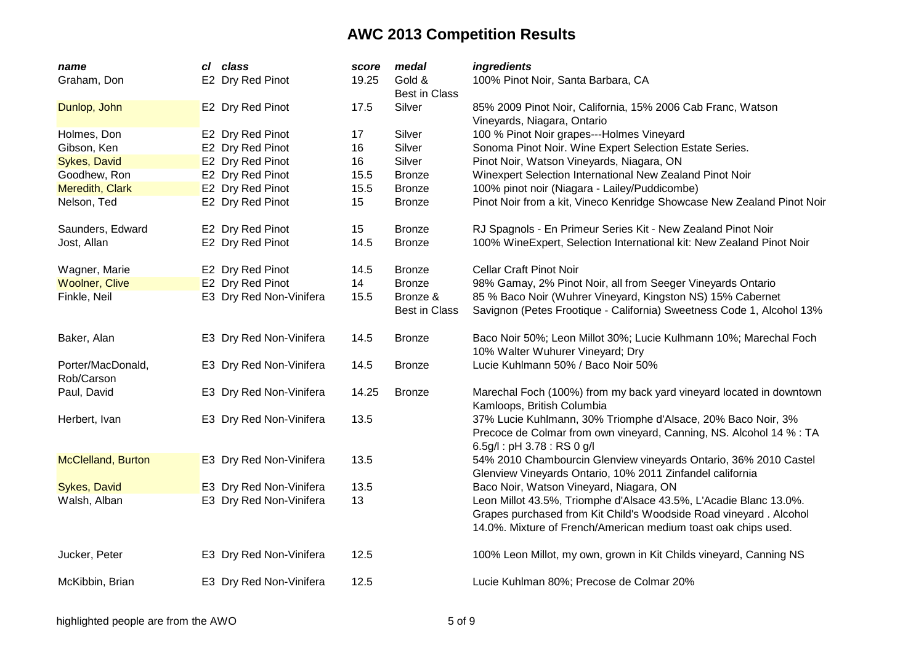| name                            | cl class                | score | medal                            | ingredients                                                                                                                                                                                              |
|---------------------------------|-------------------------|-------|----------------------------------|----------------------------------------------------------------------------------------------------------------------------------------------------------------------------------------------------------|
| Graham, Don                     | E2 Dry Red Pinot        | 19.25 | Gold &<br><b>Best in Class</b>   | 100% Pinot Noir, Santa Barbara, CA                                                                                                                                                                       |
| Dunlop, John                    | E2 Dry Red Pinot        | 17.5  | Silver                           | 85% 2009 Pinot Noir, California, 15% 2006 Cab Franc, Watson<br>Vineyards, Niagara, Ontario                                                                                                               |
| Holmes, Don                     | E2 Dry Red Pinot        | 17    | Silver                           | 100 % Pinot Noir grapes---Holmes Vineyard                                                                                                                                                                |
| Gibson, Ken                     | E2 Dry Red Pinot        | 16    | Silver                           | Sonoma Pinot Noir. Wine Expert Selection Estate Series.                                                                                                                                                  |
| <b>Sykes, David</b>             | E2 Dry Red Pinot        | 16    | Silver                           | Pinot Noir, Watson Vineyards, Niagara, ON                                                                                                                                                                |
| Goodhew, Ron                    | E2 Dry Red Pinot        | 15.5  | <b>Bronze</b>                    | Winexpert Selection International New Zealand Pinot Noir                                                                                                                                                 |
| Meredith, Clark                 | E2 Dry Red Pinot        | 15.5  | <b>Bronze</b>                    | 100% pinot noir (Niagara - Lailey/Puddicombe)                                                                                                                                                            |
| Nelson, Ted                     | E2 Dry Red Pinot        | 15    | <b>Bronze</b>                    | Pinot Noir from a kit, Vineco Kenridge Showcase New Zealand Pinot Noir                                                                                                                                   |
| Saunders, Edward                | E2 Dry Red Pinot        | 15    | <b>Bronze</b>                    | RJ Spagnols - En Primeur Series Kit - New Zealand Pinot Noir                                                                                                                                             |
| Jost, Allan                     | E2 Dry Red Pinot        | 14.5  | <b>Bronze</b>                    | 100% WineExpert, Selection International kit: New Zealand Pinot Noir                                                                                                                                     |
| Wagner, Marie                   | E2 Dry Red Pinot        | 14.5  | <b>Bronze</b>                    | <b>Cellar Craft Pinot Noir</b>                                                                                                                                                                           |
| <b>Woolner, Clive</b>           | E2 Dry Red Pinot        | 14    | <b>Bronze</b>                    | 98% Gamay, 2% Pinot Noir, all from Seeger Vineyards Ontario                                                                                                                                              |
| Finkle, Neil                    | E3 Dry Red Non-Vinifera | 15.5  | Bronze &<br><b>Best in Class</b> | 85 % Baco Noir (Wuhrer Vineyard, Kingston NS) 15% Cabernet<br>Savignon (Petes Frootique - California) Sweetness Code 1, Alcohol 13%                                                                      |
| Baker, Alan                     | E3 Dry Red Non-Vinifera | 14.5  | <b>Bronze</b>                    | Baco Noir 50%; Leon Millot 30%; Lucie Kulhmann 10%; Marechal Foch<br>10% Walter Wuhurer Vineyard; Dry                                                                                                    |
| Porter/MacDonald,<br>Rob/Carson | E3 Dry Red Non-Vinifera | 14.5  | <b>Bronze</b>                    | Lucie Kuhlmann 50% / Baco Noir 50%                                                                                                                                                                       |
| Paul, David                     | E3 Dry Red Non-Vinifera | 14.25 | <b>Bronze</b>                    | Marechal Foch (100%) from my back yard vineyard located in downtown<br>Kamloops, British Columbia                                                                                                        |
| Herbert, Ivan                   | E3 Dry Red Non-Vinifera | 13.5  |                                  | 37% Lucie Kuhlmann, 30% Triomphe d'Alsace, 20% Baco Noir, 3%<br>Precoce de Colmar from own vineyard, Canning, NS. Alcohol 14 % : TA<br>6.5g/l: pH 3.78: RS 0 g/l                                         |
| <b>McClelland, Burton</b>       | E3 Dry Red Non-Vinifera | 13.5  |                                  | 54% 2010 Chambourcin Glenview vineyards Ontario, 36% 2010 Castel<br>Glenview Vineyards Ontario, 10% 2011 Zinfandel california                                                                            |
| Sykes, David                    | E3 Dry Red Non-Vinifera | 13.5  |                                  | Baco Noir, Watson Vineyard, Niagara, ON                                                                                                                                                                  |
| Walsh, Alban                    | E3 Dry Red Non-Vinifera | 13    |                                  | Leon Millot 43.5%, Triomphe d'Alsace 43.5%, L'Acadie Blanc 13.0%.<br>Grapes purchased from Kit Child's Woodside Road vineyard. Alcohol<br>14.0%. Mixture of French/American medium toast oak chips used. |
| Jucker, Peter                   | E3 Dry Red Non-Vinifera | 12.5  |                                  | 100% Leon Millot, my own, grown in Kit Childs vineyard, Canning NS                                                                                                                                       |
| McKibbin, Brian                 | E3 Dry Red Non-Vinifera | 12.5  |                                  | Lucie Kuhlman 80%; Precose de Colmar 20%                                                                                                                                                                 |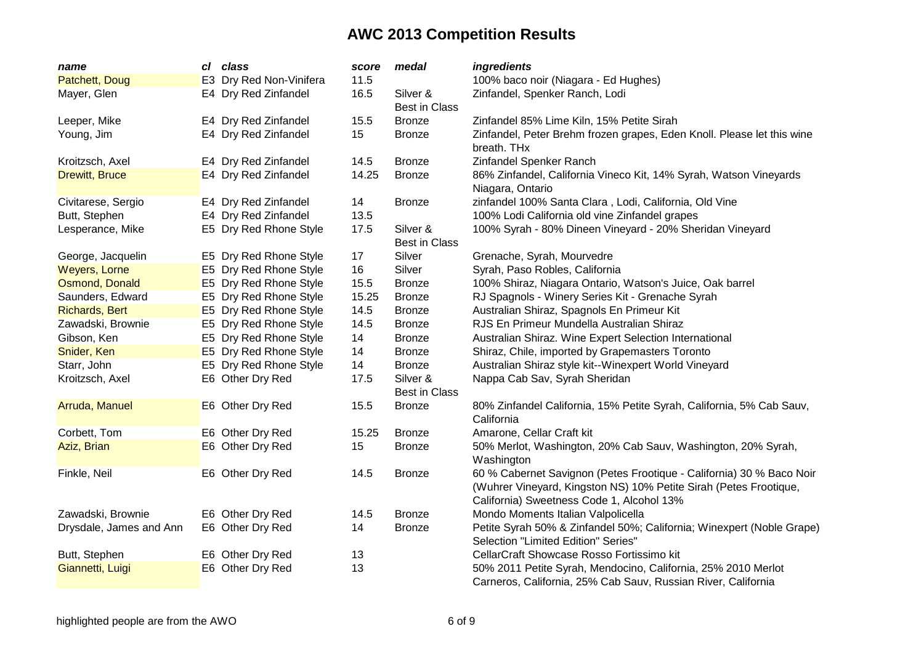| name                    | cl class                | score | medal                            | ingredients                                                                                                                                                                            |
|-------------------------|-------------------------|-------|----------------------------------|----------------------------------------------------------------------------------------------------------------------------------------------------------------------------------------|
| Patchett, Doug          | E3 Dry Red Non-Vinifera | 11.5  |                                  | 100% baco noir (Niagara - Ed Hughes)                                                                                                                                                   |
| Mayer, Glen             | E4 Dry Red Zinfandel    | 16.5  | Silver &<br><b>Best in Class</b> | Zinfandel, Spenker Ranch, Lodi                                                                                                                                                         |
| Leeper, Mike            | E4 Dry Red Zinfandel    | 15.5  | <b>Bronze</b>                    | Zinfandel 85% Lime Kiln, 15% Petite Sirah                                                                                                                                              |
| Young, Jim              | E4 Dry Red Zinfandel    | 15    | <b>Bronze</b>                    | Zinfandel, Peter Brehm frozen grapes, Eden Knoll. Please let this wine<br>breath. THx                                                                                                  |
| Kroitzsch, Axel         | E4 Dry Red Zinfandel    | 14.5  | <b>Bronze</b>                    | Zinfandel Spenker Ranch                                                                                                                                                                |
| <b>Drewitt, Bruce</b>   | E4 Dry Red Zinfandel    | 14.25 | <b>Bronze</b>                    | 86% Zinfandel, California Vineco Kit, 14% Syrah, Watson Vineyards<br>Niagara, Ontario                                                                                                  |
| Civitarese, Sergio      | E4 Dry Red Zinfandel    | 14    | <b>Bronze</b>                    | zinfandel 100% Santa Clara, Lodi, California, Old Vine                                                                                                                                 |
| Butt, Stephen           | E4 Dry Red Zinfandel    | 13.5  |                                  | 100% Lodi California old vine Zinfandel grapes                                                                                                                                         |
| Lesperance, Mike        | E5 Dry Red Rhone Style  | 17.5  | Silver &<br><b>Best in Class</b> | 100% Syrah - 80% Dineen Vineyard - 20% Sheridan Vineyard                                                                                                                               |
| George, Jacquelin       | E5 Dry Red Rhone Style  | 17    | Silver                           | Grenache, Syrah, Mourvedre                                                                                                                                                             |
| Weyers, Lorne           | E5 Dry Red Rhone Style  | 16    | Silver                           | Syrah, Paso Robles, California                                                                                                                                                         |
| Osmond, Donald          | E5 Dry Red Rhone Style  | 15.5  | <b>Bronze</b>                    | 100% Shiraz, Niagara Ontario, Watson's Juice, Oak barrel                                                                                                                               |
| Saunders, Edward        | E5 Dry Red Rhone Style  | 15.25 | <b>Bronze</b>                    | RJ Spagnols - Winery Series Kit - Grenache Syrah                                                                                                                                       |
| <b>Richards, Bert</b>   | E5 Dry Red Rhone Style  | 14.5  | <b>Bronze</b>                    | Australian Shiraz, Spagnols En Primeur Kit                                                                                                                                             |
| Zawadski, Brownie       | E5 Dry Red Rhone Style  | 14.5  | <b>Bronze</b>                    | RJS En Primeur Mundella Australian Shiraz                                                                                                                                              |
| Gibson, Ken             | E5 Dry Red Rhone Style  | 14    | <b>Bronze</b>                    | Australian Shiraz. Wine Expert Selection International                                                                                                                                 |
| Snider, Ken             | E5 Dry Red Rhone Style  | 14    | <b>Bronze</b>                    | Shiraz, Chile, imported by Grapemasters Toronto                                                                                                                                        |
| Starr, John             | E5 Dry Red Rhone Style  | 14    | <b>Bronze</b>                    | Australian Shiraz style kit--Winexpert World Vineyard                                                                                                                                  |
| Kroitzsch, Axel         | E6 Other Dry Red        | 17.5  | Silver &<br><b>Best in Class</b> | Nappa Cab Sav, Syrah Sheridan                                                                                                                                                          |
| Arruda, Manuel          | E6 Other Dry Red        | 15.5  | <b>Bronze</b>                    | 80% Zinfandel California, 15% Petite Syrah, California, 5% Cab Sauv,<br>California                                                                                                     |
| Corbett, Tom            | E6 Other Dry Red        | 15.25 | <b>Bronze</b>                    | Amarone, Cellar Craft kit                                                                                                                                                              |
| Aziz, Brian             | E6 Other Dry Red        | 15    | <b>Bronze</b>                    | 50% Merlot, Washington, 20% Cab Sauv, Washington, 20% Syrah,<br>Washington                                                                                                             |
| Finkle, Neil            | E6 Other Dry Red        | 14.5  | <b>Bronze</b>                    | 60 % Cabernet Savignon (Petes Frootique - California) 30 % Baco Noir<br>(Wuhrer Vineyard, Kingston NS) 10% Petite Sirah (Petes Frootique,<br>California) Sweetness Code 1, Alcohol 13% |
| Zawadski, Brownie       | E6 Other Dry Red        | 14.5  | <b>Bronze</b>                    | Mondo Moments Italian Valpolicella                                                                                                                                                     |
| Drysdale, James and Ann | E6 Other Dry Red        | 14    | <b>Bronze</b>                    | Petite Syrah 50% & Zinfandel 50%; California; Winexpert (Noble Grape)<br>Selection "Limited Edition" Series"                                                                           |
| Butt, Stephen           | E6 Other Dry Red        | 13    |                                  | CellarCraft Showcase Rosso Fortissimo kit                                                                                                                                              |
| Giannetti, Luigi        | E6 Other Dry Red        | 13    |                                  | 50% 2011 Petite Syrah, Mendocino, California, 25% 2010 Merlot<br>Carneros, California, 25% Cab Sauv, Russian River, California                                                         |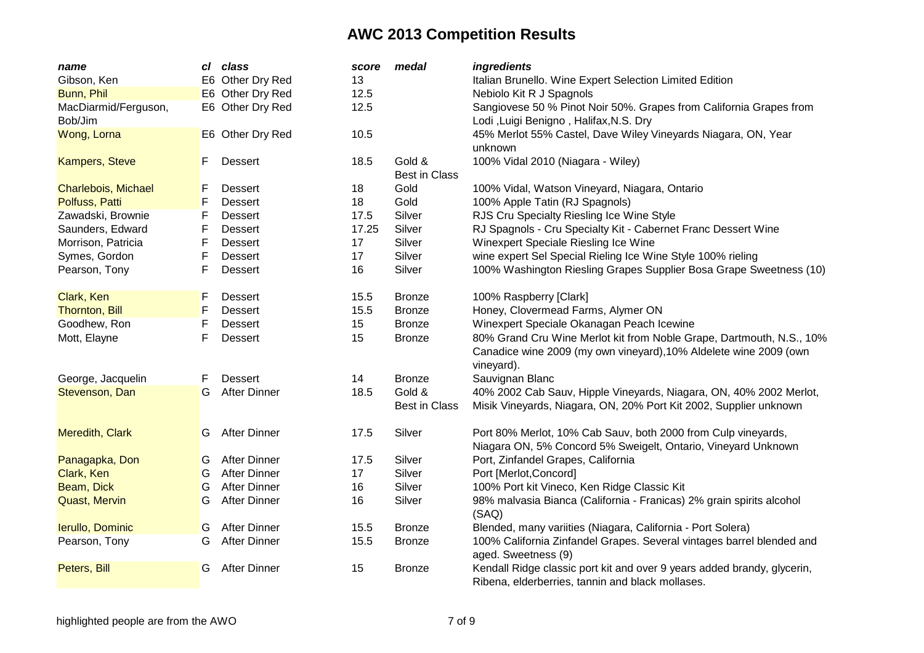| name                  | cl | class               | score | medal                | ingredients                                                             |
|-----------------------|----|---------------------|-------|----------------------|-------------------------------------------------------------------------|
| Gibson, Ken           |    | E6 Other Dry Red    | 13    |                      | Italian Brunello. Wine Expert Selection Limited Edition                 |
| Bunn, Phil            |    | E6 Other Dry Red    | 12.5  |                      | Nebiolo Kit R J Spagnols                                                |
| MacDiarmid/Ferguson,  |    | E6 Other Dry Red    | 12.5  |                      | Sangiovese 50 % Pinot Noir 50%. Grapes from California Grapes from      |
| Bob/Jim               |    |                     |       |                      | Lodi ,Luigi Benigno, Halifax, N.S. Dry                                  |
| Wong, Lorna           |    | E6 Other Dry Red    | 10.5  |                      | 45% Merlot 55% Castel, Dave Wiley Vineyards Niagara, ON, Year           |
|                       |    |                     |       |                      | unknown                                                                 |
| <b>Kampers, Steve</b> | F  | <b>Dessert</b>      | 18.5  | Gold &               | 100% Vidal 2010 (Niagara - Wiley)                                       |
|                       |    |                     |       | <b>Best in Class</b> |                                                                         |
| Charlebois, Michael   | F  | <b>Dessert</b>      | 18    | Gold                 | 100% Vidal, Watson Vineyard, Niagara, Ontario                           |
| Polfuss, Patti        | F  | Dessert             | 18    | Gold                 | 100% Apple Tatin (RJ Spagnols)                                          |
| Zawadski, Brownie     | F  | <b>Dessert</b>      | 17.5  | Silver               | RJS Cru Specialty Riesling Ice Wine Style                               |
| Saunders, Edward      | F  | <b>Dessert</b>      | 17.25 | Silver               | RJ Spagnols - Cru Specialty Kit - Cabernet Franc Dessert Wine           |
| Morrison, Patricia    | F  | <b>Dessert</b>      | 17    | Silver               | Winexpert Speciale Riesling Ice Wine                                    |
| Symes, Gordon         | F  | <b>Dessert</b>      | 17    | Silver               | wine expert Sel Special Rieling Ice Wine Style 100% rieling             |
| Pearson, Tony         | F  | <b>Dessert</b>      | 16    | Silver               | 100% Washington Riesling Grapes Supplier Bosa Grape Sweetness (10)      |
|                       |    |                     |       |                      |                                                                         |
| Clark, Ken            | F  | <b>Dessert</b>      | 15.5  | <b>Bronze</b>        | 100% Raspberry [Clark]                                                  |
| <b>Thornton, Bill</b> | F  | Dessert             | 15.5  | <b>Bronze</b>        | Honey, Clovermead Farms, Alymer ON                                      |
| Goodhew, Ron          | F  | <b>Dessert</b>      | 15    | <b>Bronze</b>        | Winexpert Speciale Okanagan Peach Icewine                               |
| Mott, Elayne          | F  | <b>Dessert</b>      | 15    | <b>Bronze</b>        | 80% Grand Cru Wine Merlot kit from Noble Grape, Dartmouth, N.S., 10%    |
|                       |    |                     |       |                      | Canadice wine 2009 (my own vineyard), 10% Aldelete wine 2009 (own       |
|                       |    |                     |       |                      | vineyard).                                                              |
| George, Jacquelin     | F  | <b>Dessert</b>      | 14    | <b>Bronze</b>        | Sauvignan Blanc                                                         |
| Stevenson, Dan        | G  | <b>After Dinner</b> | 18.5  | Gold &               | 40% 2002 Cab Sauv, Hipple Vineyards, Niagara, ON, 40% 2002 Merlot,      |
|                       |    |                     |       | <b>Best in Class</b> | Misik Vineyards, Niagara, ON, 20% Port Kit 2002, Supplier unknown       |
|                       |    |                     |       |                      |                                                                         |
| Meredith, Clark       | G  | <b>After Dinner</b> | 17.5  | Silver               | Port 80% Merlot, 10% Cab Sauv, both 2000 from Culp vineyards,           |
|                       |    |                     |       |                      | Niagara ON, 5% Concord 5% Sweigelt, Ontario, Vineyard Unknown           |
| Panagapka, Don        | G  | <b>After Dinner</b> | 17.5  | Silver               | Port, Zinfandel Grapes, California                                      |
| Clark, Ken            | G  | <b>After Dinner</b> | 17    | Silver               | Port [Merlot, Concord]                                                  |
| Beam, Dick            | G  | <b>After Dinner</b> | 16    | Silver               | 100% Port kit Vineco, Ken Ridge Classic Kit                             |
| <b>Quast, Mervin</b>  | G  | <b>After Dinner</b> | 16    | Silver               | 98% malvasia Bianca (California - Franicas) 2% grain spirits alcohol    |
|                       |    |                     |       |                      | (SAQ)                                                                   |
| Ierullo, Dominic      | G  | <b>After Dinner</b> | 15.5  | <b>Bronze</b>        | Blended, many variities (Niagara, California - Port Solera)             |
| Pearson, Tony         | G  | <b>After Dinner</b> | 15.5  | <b>Bronze</b>        | 100% California Zinfandel Grapes. Several vintages barrel blended and   |
|                       |    |                     |       |                      | aged. Sweetness (9)                                                     |
| Peters, Bill          | G  | <b>After Dinner</b> | 15    | <b>Bronze</b>        | Kendall Ridge classic port kit and over 9 years added brandy, glycerin, |
|                       |    |                     |       |                      | Ribena, elderberries, tannin and black mollases.                        |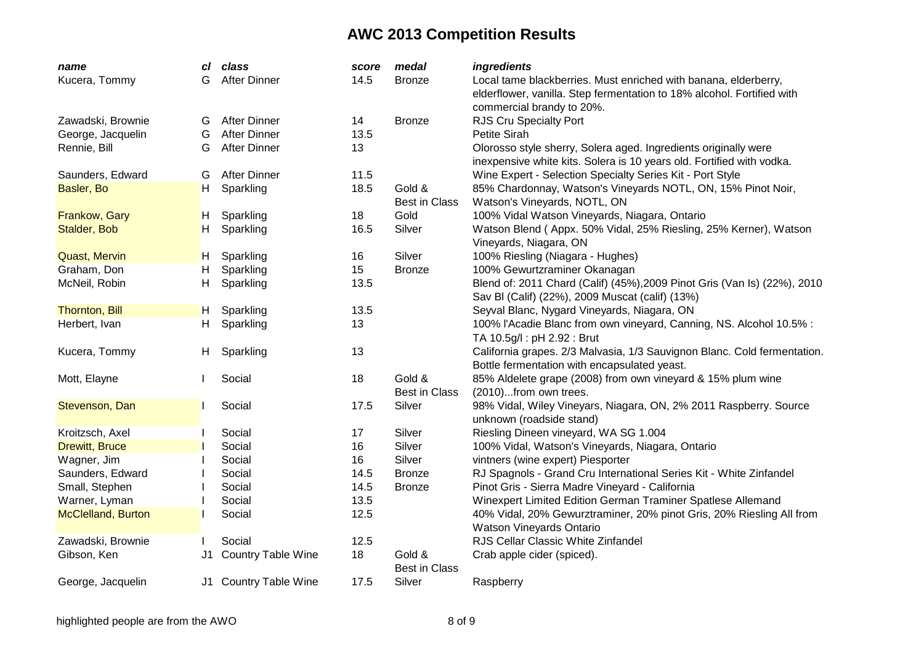| name                      | сI | class                     | score | medal                | ingredients                                                              |
|---------------------------|----|---------------------------|-------|----------------------|--------------------------------------------------------------------------|
| Kucera, Tommy             | G  | <b>After Dinner</b>       | 14.5  | <b>Bronze</b>        | Local tame blackberries. Must enriched with banana, elderberry,          |
|                           |    |                           |       |                      | elderflower, vanilla. Step fermentation to 18% alcohol. Fortified with   |
|                           |    |                           |       |                      | commercial brandy to 20%.                                                |
| Zawadski, Brownie         | G  | <b>After Dinner</b>       | 14    | <b>Bronze</b>        | RJS Cru Specialty Port                                                   |
| George, Jacquelin         | G  | <b>After Dinner</b>       | 13.5  |                      | Petite Sirah                                                             |
| Rennie, Bill              | G  | <b>After Dinner</b>       | 13    |                      | Olorosso style sherry, Solera aged. Ingredients originally were          |
|                           |    |                           |       |                      | inexpensive white kits. Solera is 10 years old. Fortified with vodka.    |
| Saunders, Edward          | G  | <b>After Dinner</b>       | 11.5  |                      | Wine Expert - Selection Specialty Series Kit - Port Style                |
| Basler, Bo                | H. | Sparkling                 | 18.5  | Gold &               | 85% Chardonnay, Watson's Vineyards NOTL, ON, 15% Pinot Noir,             |
|                           |    |                           |       | <b>Best in Class</b> | Watson's Vineyards, NOTL, ON                                             |
| Frankow, Gary             | H  | Sparkling                 | 18    | Gold                 | 100% Vidal Watson Vineyards, Niagara, Ontario                            |
| Stalder, Bob              | н  | Sparkling                 | 16.5  | Silver               | Watson Blend (Appx. 50% Vidal, 25% Riesling, 25% Kerner), Watson         |
|                           |    |                           |       |                      | Vineyards, Niagara, ON                                                   |
| <b>Quast, Mervin</b>      | H  | Sparkling                 | 16    | Silver               | 100% Riesling (Niagara - Hughes)                                         |
| Graham, Don               | Н  | Sparkling                 | 15    | <b>Bronze</b>        | 100% Gewurtzraminer Okanagan                                             |
| McNeil, Robin             | Н  | Sparkling                 | 13.5  |                      | Blend of: 2011 Chard (Calif) (45%), 2009 Pinot Gris (Van Is) (22%), 2010 |
|                           |    |                           |       |                      | Sav BI (Calif) (22%), 2009 Muscat (calif) (13%)                          |
| <b>Thornton, Bill</b>     | H, | Sparkling                 | 13.5  |                      | Seyval Blanc, Nygard Vineyards, Niagara, ON                              |
| Herbert, Ivan             | H. | Sparkling                 | 13    |                      | 100% l'Acadie Blanc from own vineyard, Canning, NS. Alcohol 10.5% :      |
|                           |    |                           |       |                      | TA 10.5g/l: pH 2.92: Brut                                                |
| Kucera, Tommy             | H, | Sparkling                 | 13    |                      | California grapes. 2/3 Malvasia, 1/3 Sauvignon Blanc. Cold fermentation. |
|                           |    |                           |       |                      | Bottle fermentation with encapsulated yeast.                             |
| Mott, Elayne              |    | Social                    | 18    | Gold &               | 85% Aldelete grape (2008) from own vineyard & 15% plum wine              |
|                           |    |                           |       | <b>Best in Class</b> | (2010)from own trees.                                                    |
| Stevenson, Dan            |    | Social                    | 17.5  | Silver               | 98% Vidal, Wiley Vineyars, Niagara, ON, 2% 2011 Raspberry. Source        |
|                           |    |                           |       |                      | unknown (roadside stand)                                                 |
| Kroitzsch, Axel           |    | Social                    | 17    | Silver               | Riesling Dineen vineyard, WA SG 1.004                                    |
| <b>Drewitt, Bruce</b>     |    | Social                    | 16    | Silver               | 100% Vidal, Watson's Vineyards, Niagara, Ontario                         |
| Wagner, Jim               |    | Social                    | 16    | Silver               | vintners (wine expert) Piesporter                                        |
| Saunders, Edward          |    | Social                    | 14.5  | <b>Bronze</b>        | RJ Spagnols - Grand Cru International Series Kit - White Zinfandel       |
| Small, Stephen            |    | Social                    | 14.5  | <b>Bronze</b>        | Pinot Gris - Sierra Madre Vineyard - California                          |
| Warner, Lyman             |    | Social                    | 13.5  |                      | Winexpert Limited Edition German Traminer Spatlese Allemand              |
| <b>McClelland, Burton</b> |    | Social                    | 12.5  |                      | 40% Vidal, 20% Gewurztraminer, 20% pinot Gris, 20% Riesling All from     |
|                           |    |                           |       |                      | Watson Vineyards Ontario                                                 |
| Zawadski, Brownie         |    | Social                    | 12.5  |                      | RJS Cellar Classic White Zinfandel                                       |
| Gibson, Ken               | J1 | <b>Country Table Wine</b> | 18    | Gold &               | Crab apple cider (spiced).                                               |
|                           |    |                           |       | <b>Best in Class</b> |                                                                          |
| George, Jacquelin         |    | J1 Country Table Wine     | 17.5  | Silver               | Raspberry                                                                |